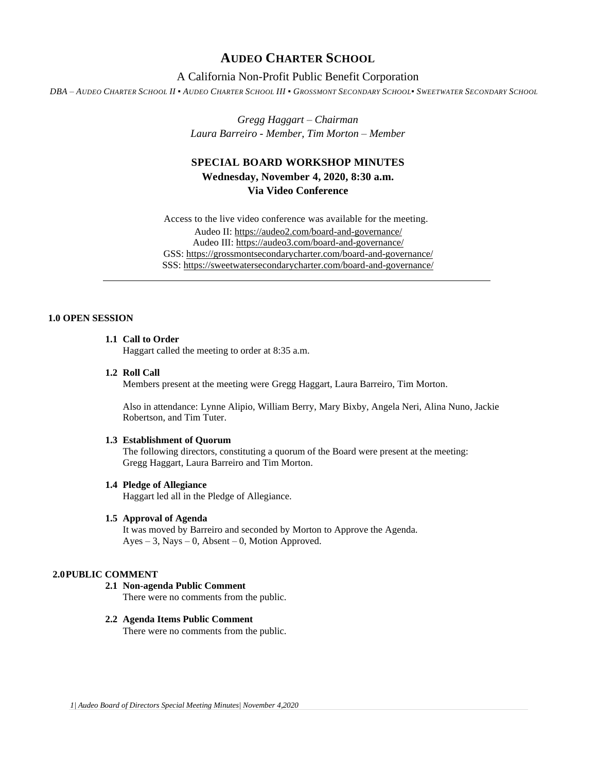# **AUDEO CHARTER SCHOOL**

## A California Non-Profit Public Benefit Corporation

DBA - AUDEO CHARTER SCHOOL II · AUDEO CHARTER SCHOOL III · GROSSMONT SECONDARY SCHOOL · SWEETWATER SECONDARY SCHOOL

*Gregg Haggart – Chairman Laura Barreiro - Member, Tim Morton – Member*

# **SPECIAL BOARD WORKSHOP MINUTES Wednesday, November 4, 2020, 8:30 a.m. Via Video Conference**

Access to the live video conference was available for the meeting. Audeo II[: https://audeo2.com/board-and-governance/](https://audeo2.com/board-and-governance/) Audeo III:<https://audeo3.com/board-and-governance/> GSS:<https://grossmontsecondarycharter.com/board-and-governance/> SSS:<https://sweetwatersecondarycharter.com/board-and-governance/>

### **1.0 OPEN SESSION**

## **1.1 Call to Order**

Haggart called the meeting to order at 8:35 a.m.

#### **1.2 Roll Call**

Members present at the meeting were Gregg Haggart, Laura Barreiro, Tim Morton.

Also in attendance: Lynne Alipio, William Berry, Mary Bixby, Angela Neri, Alina Nuno, Jackie Robertson, and Tim Tuter.

#### **1.3 Establishment of Quorum**

The following directors, constituting a quorum of the Board were present at the meeting: Gregg Haggart, Laura Barreiro and Tim Morton.

## **1.4 Pledge of Allegiance**

Haggart led all in the Pledge of Allegiance.

#### **1.5 Approval of Agenda**

It was moved by Barreiro and seconded by Morton to Approve the Agenda. Ayes – 3, Nays – 0, Absent – 0, Motion Approved.

#### **2.0PUBLIC COMMENT**

**2.1 Non-agenda Public Comment**

There were no comments from the public.

#### **2.2 Agenda Items Public Comment**

There were no comments from the public.